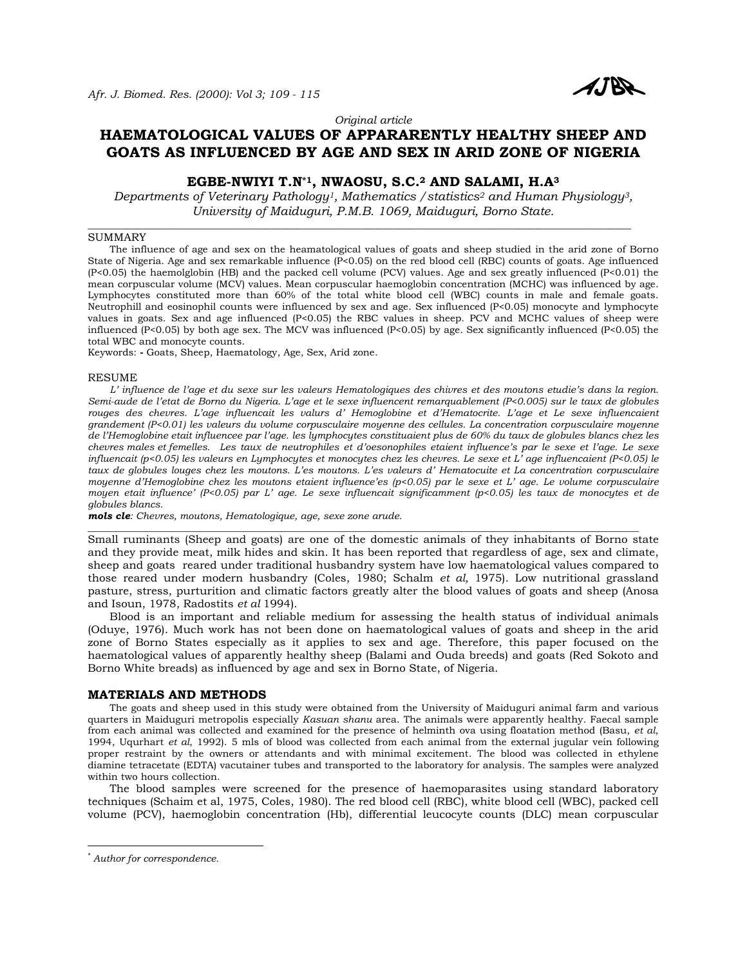

*Original article* 

# **HAEMATOLOGICAL VALUES OF APPARARENTLY HEALTHY SHEEP AND GOATS AS INFLUENCED BY AGE AND SEX IN ARID ZONE OF NIGERIA**

## **EGBE-NWIYI T.N\*1, NWAOSU, S.C.2 AND SALAMI, H.A3**

*Departments of Veterinary Pathology1, Mathematics /statistics2 and Human Physiology3, University of Maiduguri, P.M.B. 1069, Maiduguri, Borno State.* 

\_\_\_\_\_\_\_\_\_\_\_\_\_\_\_\_\_\_\_\_\_\_\_\_\_\_\_\_\_\_\_\_\_\_\_\_\_\_\_\_\_\_\_\_\_\_\_\_\_\_\_\_\_\_\_\_\_\_\_\_\_\_\_\_\_\_\_\_\_\_\_\_\_\_\_\_\_\_\_\_\_\_\_\_\_\_\_\_\_\_\_\_\_\_\_\_\_\_\_

## SUMMARY

 The influence of age and sex on the heamatological values of goats and sheep studied in the arid zone of Borno State of Nigeria. Age and sex remarkable influence (P<0.05) on the red blood cell (RBC) counts of goats. Age influenced (P<0.05) the haemolglobin (HB) and the packed cell volume (PCV) values. Age and sex greatly influenced (P<0.01) the mean corpuscular volume (MCV) values. Mean corpuscular haemoglobin concentration (MCHC) was influenced by age. Lymphocytes constituted more than 60% of the total white blood cell (WBC) counts in male and female goats. Neutrophill and eosinophil counts were influenced by sex and age. Sex influenced (P<0.05) monocyte and lymphocyte values in goats. Sex and age influenced (P<0.05) the RBC values in sheep. PCV and MCHC values of sheep were influenced (P<0.05) by both age sex. The MCV was influenced (P<0.05) by age. Sex significantly influenced (P<0.05) the total WBC and monocyte counts.

Keywords: **-** Goats, Sheep, Haematology, Age, Sex, Arid zone.

#### RESUME

 *L' influence de l'age et du sexe sur les valeurs Hematologiques des chivres et des moutons etudie's dans la region. Semi-aude de l'etat de Borno du Nigeria. L'age et le sexe influencent remarquablement (P<0.005) sur le taux de globules rouges des chevres. L'age influencait les valurs d' Hemoglobine et d'Hematocrite. L'age et Le sexe influencaient grandement (P<0.01) les valeurs du volume corpusculaire moyenne des cellules. La concentration corpusculaire moyenne de l'Hemoglobine etait influencee par l'age. les lymphocytes constituaient plus de 60% du taux de globules blancs chez les chevres males et femelles. Les taux de neutrophiles et d'oesonophiles etaient influence's par le sexe et l'age. Le sexe influencait (p<0.05) les valeurs en Lymphocytes et monocytes chez les chevres. Le sexe et L' age influencaient (P<0.05) le taux de globules louges chez les moutons. L'es moutons. L'es valeurs d' Hematocuite et La concentration corpusculaire moyenne d'Hemoglobine chez les moutons etaient influence'es (p<0.05) par le sexe et L' age. Le volume corpusculaire moyen etait influence' (P<0.05) par L' age. Le sexe influencait significamment (p<0.05) les taux de monocytes et de globules blancs.* 

*mols cle: Chevres, moutons, Hematologique, age, sexe zone arude.* 

Small ruminants (Sheep and goats) are one of the domestic animals of they inhabitants of Borno state and they provide meat, milk hides and skin. It has been reported that regardless of age, sex and climate, sheep and goats reared under traditional husbandry system have low haematological values compared to those reared under modern husbandry (Coles, 1980; Schalm *et al,* 1975). Low nutritional grassland pasture, stress, purturition and climatic factors greatly alter the blood values of goats and sheep (Anosa and Isoun, 1978, Radostits *et al* 1994).

\_\_\_\_\_\_\_\_\_\_\_\_\_\_\_\_\_\_\_\_\_\_\_\_\_\_\_\_\_\_\_\_\_\_\_\_\_\_\_\_\_\_\_\_\_\_\_\_\_\_\_\_\_\_\_\_\_\_\_\_\_\_\_\_\_\_\_\_\_\_\_\_\_\_\_\_\_\_\_\_\_\_\_\_\_\_\_\_\_\_\_\_\_\_\_\_\_\_\_\_\_\_\_\_\_\_\_\_\_\_\_\_\_

 Blood is an important and reliable medium for assessing the health status of individual animals (Oduye, 1976). Much work has not been done on haematological values of goats and sheep in the arid zone of Borno States especially as it applies to sex and age. Therefore, this paper focused on the haematological values of apparently healthy sheep (Balami and Ouda breeds) and goats (Red Sokoto and Borno White breads) as influenced by age and sex in Borno State, of Nigeria.

#### **MATERIALS AND METHODS**

 The goats and sheep used in this study were obtained from the University of Maiduguri animal farm and various quarters in Maiduguri metropolis especially *Kasuan shanu* area. The animals were apparently healthy. Faecal sample from each animal was collected and examined for the presence of helminth ova using floatation method (Basu, *et al*, 1994, Uqurhart *et al*, 1992). 5 mls of blood was collected from each animal from the external jugular vein following proper restraint by the owners or attendants and with minimal excitement. The blood was collected in ethylene diamine tetracetate (EDTA) vacutainer tubes and transported to the laboratory for analysis. The samples were analyzed within two hours collection.

 The blood samples were screened for the presence of haemoparasites using standard laboratory techniques (Schaim et al, 1975, Coles, 1980). The red blood cell (RBC), white blood cell (WBC), packed cell volume (PCV), haemoglobin concentration (Hb), differential leucocyte counts (DLC) mean corpuscular

 $\overline{a}$ 

<sup>\*</sup> *Author for correspondence.*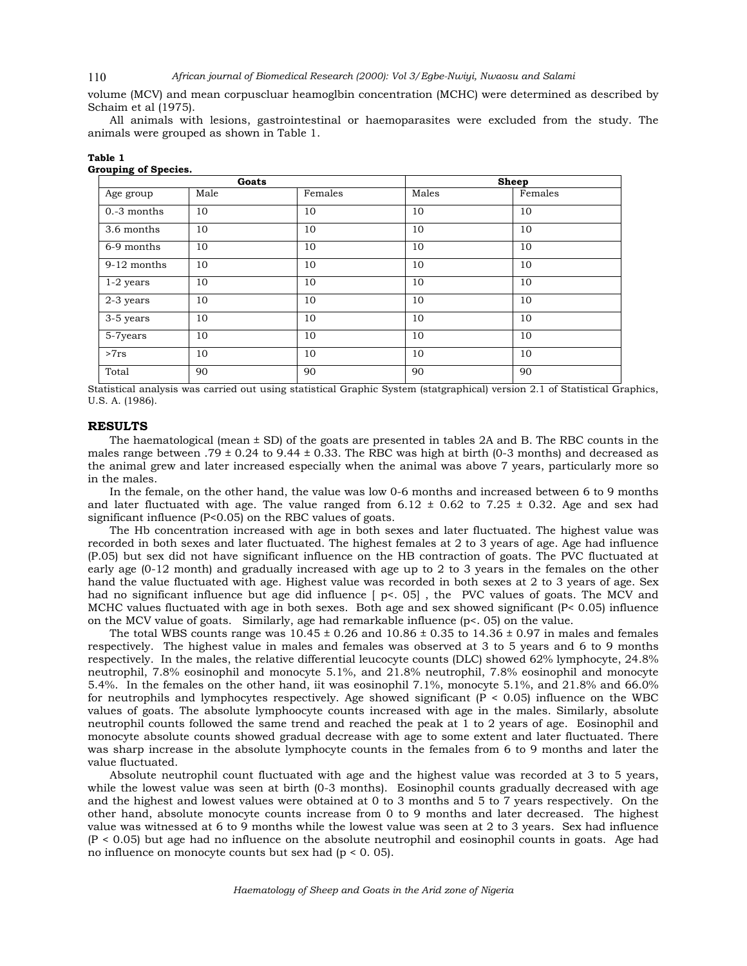#### *African journal of Biomedical Research (2000): Vol 3/Egbe-Nwiyi, Nwaosu and Salami*  110

volume (MCV) and mean corpuscluar heamoglbin concentration (MCHC) were determined as described by Schaim et al (1975).

 All animals with lesions, gastrointestinal or haemoparasites were excluded from the study. The animals were grouped as shown in Table 1.

|                     | Goats |         |       | <b>Sheep</b> |
|---------------------|-------|---------|-------|--------------|
| Age group           | Male  | Females | Males | Females      |
| 10<br>$0.-3$ months |       | 10      | 10    | 10           |
| 3.6 months          | 10    | 10      | 10    | 10           |
| 6-9 months          | 10    | 10      | 10    | 10           |
| $9-12$ months       | 10    | 10      | 10    | 10           |
| $1-2$ years         | 10    | 10      | 10    | 10           |
| 2-3 years           | 10    | 10      | 10    | 10           |
| 3-5 years           | 10    | 10      | 10    | 10           |
| 5-7years            | 10    | 10      | 10    | 10           |
| >7rs                | 10    | 10      | 10    | 10           |
| Total               | 90    | 90      | 90    | 90           |

Statistical analysis was carried out using statistical Graphic System (statgraphical) version 2.1 of Statistical Graphics, U.S. A. (1986).

## **RESULTS**

**Table 1** 

**Grouping of Species.** 

The haematological (mean  $\pm$  SD) of the goats are presented in tables 2A and B. The RBC counts in the males range between .79  $\pm$  0.24 to 9.44  $\pm$  0.33. The RBC was high at birth (0-3 months) and decreased as the animal grew and later increased especially when the animal was above 7 years, particularly more so in the males.

 In the female, on the other hand, the value was low 0-6 months and increased between 6 to 9 months and later fluctuated with age. The value ranged from  $6.12 \pm 0.62$  to  $7.25 \pm 0.32$ . Age and sex had significant influence (P<0.05) on the RBC values of goats.

 The Hb concentration increased with age in both sexes and later fluctuated. The highest value was recorded in both sexes and later fluctuated. The highest females at 2 to 3 years of age. Age had influence (P.05) but sex did not have significant influence on the HB contraction of goats. The PVC fluctuated at early age (0-12 month) and gradually increased with age up to 2 to 3 years in the females on the other hand the value fluctuated with age. Highest value was recorded in both sexes at 2 to 3 years of age. Sex had no significant influence but age did influence  $\lceil p \lt 0.05 \rceil$ , the PVC values of goats. The MCV and MCHC values fluctuated with age in both sexes. Both age and sex showed significant (P< 0.05) influence on the MCV value of goats. Similarly, age had remarkable influence (p<. 05) on the value.

The total WBS counts range was  $10.45 \pm 0.26$  and  $10.86 \pm 0.35$  to  $14.36 \pm 0.97$  in males and females respectively. The highest value in males and females was observed at 3 to 5 years and 6 to 9 months respectively. In the males, the relative differential leucocyte counts (DLC) showed 62% lymphocyte, 24.8% neutrophil, 7.8% eosinophil and monocyte 5.1%, and 21.8% neutrophil, 7.8% eosinophil and monocyte 5.4%. In the females on the other hand, iit was eosinophil 7.1%, monocyte 5.1%, and 21.8% and 66.0% for neutrophils and lymphocytes respectively. Age showed significant  $(P < 0.05)$  influence on the WBC values of goats. The absolute lymphoocyte counts increased with age in the males. Similarly, absolute neutrophil counts followed the same trend and reached the peak at 1 to 2 years of age. Eosinophil and monocyte absolute counts showed gradual decrease with age to some extent and later fluctuated. There was sharp increase in the absolute lymphocyte counts in the females from 6 to 9 months and later the value fluctuated.

 Absolute neutrophil count fluctuated with age and the highest value was recorded at 3 to 5 years, while the lowest value was seen at birth (0-3 months). Eosinophil counts gradually decreased with age and the highest and lowest values were obtained at 0 to 3 months and 5 to 7 years respectively. On the other hand, absolute monocyte counts increase from 0 to 9 months and later decreased. The highest value was witnessed at 6 to 9 months while the lowest value was seen at 2 to 3 years. Sex had influence (P < 0.05) but age had no influence on the absolute neutrophil and eosinophil counts in goats. Age had no influence on monocyte counts but sex had (p < 0. 05).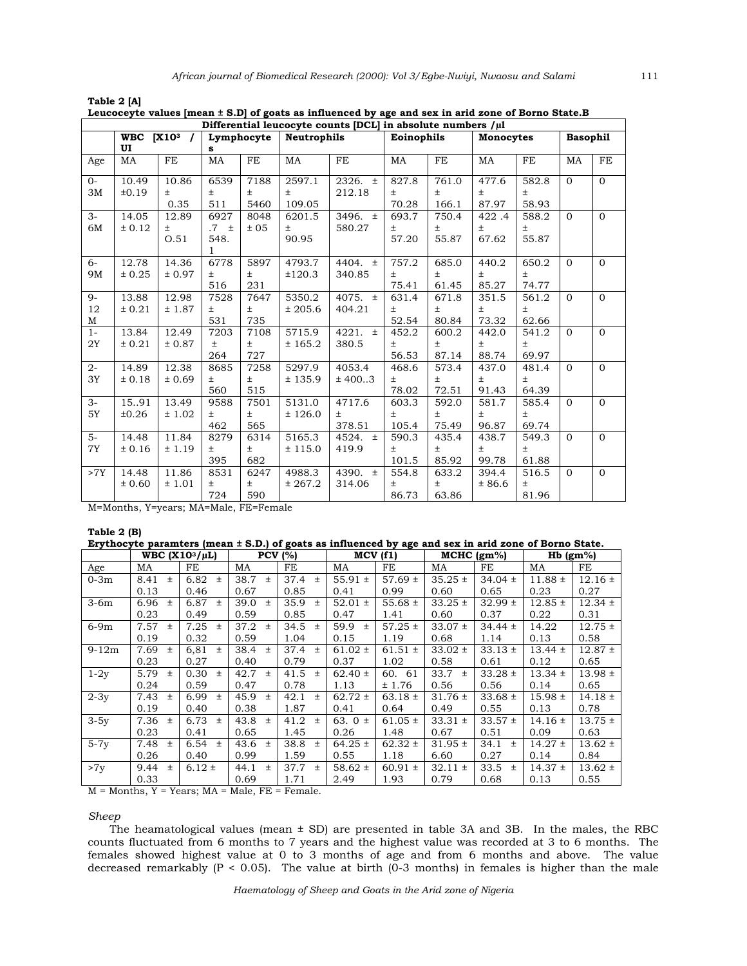|                        | Differential leucocyte counts [DCL] in absolute numbers /µl |                        |                            |                       |                           |                           |                         |                         |                         |                         |                 |              |  |
|------------------------|-------------------------------------------------------------|------------------------|----------------------------|-----------------------|---------------------------|---------------------------|-------------------------|-------------------------|-------------------------|-------------------------|-----------------|--------------|--|
|                        | <b>WBC</b> [X10 <sup>3</sup><br>UI                          | $\prime$               | s                          | Lymphocyte            | <b>Neutrophils</b>        |                           | Eoinophils              |                         | <b>Monocytes</b>        |                         | <b>Basophil</b> |              |  |
| Age                    | MA                                                          | FE                     | MA                         | FE                    | MA                        | FE                        | MA                      | FE                      | MA                      | FE                      | MA              | FE           |  |
| $0-$<br>3M             | 10.49<br>±0.19                                              | 10.86<br>$\pm$<br>0.35 | 6539<br>$\pm$<br>511       | 7188<br>$\pm$<br>5460 | 2597.1<br>$\pm$<br>109.05 | $2326. \pm$<br>212.18     | 827.8<br>Ŧ.<br>70.28    | 761.0<br>$\pm$<br>166.1 | 477.6<br>$\pm$<br>87.97 | 582.8<br>$\pm$<br>58.93 | $\Omega$        | $\Omega$     |  |
| $3-$<br>6M             | 14.05<br>± 0.12                                             | 12.89<br>$\pm$<br>O.51 | 6927<br>.7 t<br>548.<br>1. | 8048<br>± 05          | 6201.5<br>$\pm$<br>90.95  | 3496. $\pm$<br>580.27     | 693.7<br>$\pm$<br>57.20 | 750.4<br>$\pm$<br>55.87 | 422.4<br>$\pm$<br>67.62 | 588.2<br>$\pm$<br>55.87 | $\Omega$        | $\Omega$     |  |
| 6-<br>9M               | 12.78<br>± 0.25                                             | 14.36<br>± 0.97        | 6778<br>$\pm$<br>516       | 5897<br>Ŧ.<br>231     | 4793.7<br>±120.3          | 4404. $\pm$<br>340.85     | 757.2<br>Ŧ.<br>75.41    | 685.0<br>$\pm$<br>61.45 | 440.2<br>$\pm$<br>85.27 | 650.2<br>Ŧ.<br>74.77    | $\Omega$        | $\Omega$     |  |
| $9-$<br>12<br>М        | 13.88<br>± 0.21                                             | 12.98<br>± 1.87        | 7528<br>$\pm$<br>531       | 7647<br>Ŧ.<br>735     | 5350.2<br>± 205.6         | $4075. \pm$<br>404.21     | 631.4<br>Ŧ.<br>52.54    | 671.8<br>$\pm$<br>80.84 | 351.5<br>$\pm$<br>73.32 | 561.2<br>$\pm$<br>62.66 | $\Omega$        | $\mathbf{0}$ |  |
| $1-$<br>2Y             | 13.84<br>± 0.21                                             | 12.49<br>± 0.87        | 7203<br>$\pm$<br>264       | 7108<br>$\pm$<br>727  | 5715.9<br>± 165.2         | 4221. $\pm$<br>380.5      | 452.2<br>Ŧ.<br>56.53    | 600.2<br>$\pm$<br>87.14 | 442.0<br>$\pm$<br>88.74 | 541.2<br>$\pm$<br>69.97 | $\Omega$        | $\Omega$     |  |
| $\overline{2}$ -<br>3Y | $\overline{14.89}$<br>± 0.18                                | 12.38<br>± 0.69        | 8685<br>$\pm$<br>560       | 7258<br>$\pm$<br>515  | 5297.9<br>± 135.9         | 4053.4<br>± 4003          | 468.6<br>Ŧ.<br>78.02    | 573.4<br>$\pm$<br>72.51 | 437.0<br>$\pm$<br>91.43 | 481.4<br>$\pm$<br>64.39 | $\Omega$        | $\Omega$     |  |
| $3-$<br>5Y             | 1591<br>±0.26                                               | 13.49<br>±1.02         | 9588<br>$\pm$<br>462       | 7501<br>$\pm$<br>565  | 5131.0<br>± 126.0         | 4717.6<br>$\pm$<br>378.51 | 603.3<br>$\pm$<br>105.4 | 592.0<br>$\pm$<br>75.49 | 581.7<br>$\pm$<br>96.87 | 585.4<br>$\pm$<br>69.74 | $\Omega$        | $\Omega$     |  |
| $5-$<br>7Y             | 14.48<br>± 0.16                                             | 11.84<br>± 1.19        | 8279<br>$\pm$<br>395       | 6314<br>$\pm$<br>682  | 5165.3<br>± 115.0         | 4524. $\pm$<br>419.9      | 590.3<br>Ŧ.<br>101.5    | 435.4<br>Ŧ.<br>85.92    | 438.7<br>$\pm$<br>99.78 | 549.3<br>Ŧ.<br>61.88    | $\Omega$        | $\Omega$     |  |
| >7Y                    | 14.48<br>± 0.60                                             | 11.86<br>±1.01         | 8531<br>$\pm$<br>724       | 6247<br>$\pm$<br>590  | 4988.3<br>± 267.2         | 4390. $\pm$<br>314.06     | 554.8<br>Ŧ.<br>86.73    | 633.2<br>$\pm$<br>63.86 | 394.4<br>± 86.6         | 516.5<br>$\pm$<br>81.96 | $\Omega$        | $\Omega$     |  |

| Table 2 [A]                                                                                             |  |  |  |  |  |  |  |
|---------------------------------------------------------------------------------------------------------|--|--|--|--|--|--|--|
| Leucoceyte values $[mean \pm S.D]$ of goats as influenced by age and sex in arid zone of Borno State. B |  |  |  |  |  |  |  |
| Differential lesson estate constat DOI la chaelette secondone full                                      |  |  |  |  |  |  |  |

M=Months, Y=years; MA=Male, FE=Female

## **Table 2 (B)**

| Erythocyte paramters (mean ± S.D.) of goats as influenced by age and sex in arid zone of Borno State. |                     |               |               |                |               |             |               |               |             |             |
|-------------------------------------------------------------------------------------------------------|---------------------|---------------|---------------|----------------|---------------|-------------|---------------|---------------|-------------|-------------|
|                                                                                                       | WBC $(X10^3/\mu L)$ |               | $PCV$ (%)     |                |               | MCV(f1)     | $MCHC$ (gm%)  |               |             | $Hb$ (gm%)  |
| Age                                                                                                   | MA                  | FE            | MA            | FE             | MA            | FE          | MA            | FE            | MA          | FE          |
| $0-3m$                                                                                                | 8.41<br>$\pm$       | 6.82<br>$\pm$ | 38.7<br>$\pm$ | 37.4<br>$\pm$  | 55.91 $\pm$   | $57.69 \pm$ | $35.25 \pm$   | $34.04 \pm$   | $11.88 \pm$ | $12.16 \pm$ |
|                                                                                                       | 0.13                | 0.46          | 0.67          | 0.85           | 0.41          | 0.99        | 0.60          | 0.65          | 0.23        | 0.27        |
| $3-6m$                                                                                                | 6.96<br>$\pm$       | 6.87<br>$\pm$ | 39.0<br>$\pm$ | 35.9<br>$\pm$  | $52.01 \pm$   | 55.68 $\pm$ | $33.25 \pm$   | $32.99 \pm$   | $12.85 \pm$ | $12.34 \pm$ |
|                                                                                                       | 0.23                | 0.49          | 0.59          | 0.85           | 0.47          | 1.41        | 0.60          | 0.37          | 0.22        | 0.31        |
| $6-9m$                                                                                                | 7.57<br>$\pm$       | 7.25<br>$\pm$ | 37.2<br>$\pm$ | 34.5<br>$\pm$  | 59.9<br>$\pm$ | $57.25 \pm$ | $33.07 \pm$   | $34.44 \pm$   | 14.22       | $12.75 \pm$ |
|                                                                                                       | 0.19                | 0.32          | 0.59          | 1.04           | 0.15          | 1.19        | 0.68          | 1.14          | 0.13        | 0.58        |
| $9-12m$                                                                                               | 7.69<br>$\pm$       | 6,81<br>$\pm$ | 38.4<br>$\pm$ | 37.4<br>$\pm$  | $61.02 \pm$   | $61.51 \pm$ | $33.02 \pm$   | $33.13 \pm$   | $13.44 \pm$ | $12.87 \pm$ |
|                                                                                                       | 0.23                | 0.27          | 0.40          | 0.79           | 0.37          | 1.02        | 0.58          | 0.61          | 0.12        | 0.65        |
| $1-2y$                                                                                                | 5.79<br>$\pm$       | 0.30<br>$\pm$ | 42.7<br>$\pm$ | 41.5<br>$\pm$  | $62.40 \pm$   | 60. 61      | 33.7<br>$\pm$ | $33.28 \pm$   | $13.34 \pm$ | $13.98 \pm$ |
|                                                                                                       | 0.24                | 0.59          | 0.47          | 0.78           | 1.13          | ± 1.76      | 0.56          | 0.56          | 0.14        | 0.65        |
| $2-3y$                                                                                                | 7.43<br>$\pm$       | 6.99<br>$\pm$ | 45.9<br>$\pm$ | 42.1<br>$^{+}$ | $62.72 \pm$   | 63.18 $\pm$ | $31.76 \pm$   | $33.68 \pm$   | $15.98 \pm$ | $14.18 \pm$ |
|                                                                                                       | 0.19                | 0.40          | 0.38          | 1.87           | 0.41          | 0.64        | 0.49          | 0.55          | 0.13        | 0.78        |
| $3-5y$                                                                                                | 7.36<br>$\pm$       | 6.73<br>$\pm$ | 43.8<br>$\pm$ | 41.2<br>$\pm$  | 63. $0 \pm$   | $61.05 \pm$ | $33.31 \pm$   | $33.57 \pm$   | $14.16 \pm$ | $13.75 \pm$ |
|                                                                                                       | 0.23                | 0.41          | 0.65          | 1.45           | 0.26          | 1.48        | 0.67          | 0.51          | 0.09        | 0.63        |
| $5-7y$                                                                                                | 7.48<br>$\pm$       | 6.54<br>$\pm$ | 43.6 $\pm$    | 38.8<br>$\pm$  | $64.25 \pm$   | $62.32 \pm$ | $31.95 \pm$   | 34.1<br>$\pm$ | $14.27 \pm$ | $13.62 \pm$ |
|                                                                                                       | 0.26                | 0.40          | 0.99          | 1.59           | 0.55          | 1.18        | 6.60          | 0.27          | 0.14        | 0.84        |
| >7y                                                                                                   | 9.44<br>$\pm$       | $6.12 \pm$    | 44.1<br>$\pm$ | 37.7<br>$\pm$  | 58.62 $\pm$   | $60.91 \pm$ | $32.11 \pm$   | 33.5<br>$\pm$ | $14.37 \pm$ | $13.62 \pm$ |
|                                                                                                       | 0.33                |               | 0.69          | 1.71           | 2.49          | 1.93        | 0.79          | 0.68          | 0.13        | 0.55        |

**Erythocyte paramters (mean ± S.D.) of goats as influenced by age and sex in arid zone of Borno State.** 

 $M =$  Months,  $Y =$  Years;  $MA =$  Male,  $FE =$  Female.

## *Sheep*

 The heamatological values (mean ± SD) are presented in table 3A and 3B. In the males, the RBC counts fluctuated from 6 months to 7 years and the highest value was recorded at 3 to 6 months. The females showed highest value at 0 to 3 months of age and from 6 months and above. The value decreased remarkably ( $P < 0.05$ ). The value at birth ( $0-3$  months) in females is higher than the male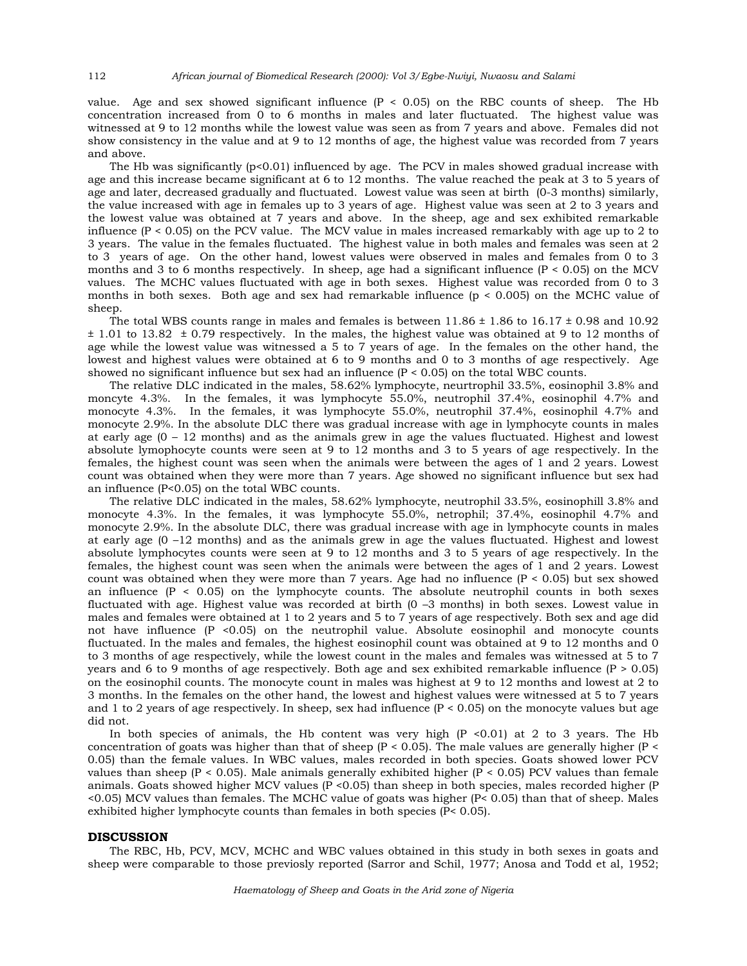value. Age and sex showed significant influence  $(P < 0.05)$  on the RBC counts of sheep. The Hb concentration increased from 0 to 6 months in males and later fluctuated. The highest value was witnessed at 9 to 12 months while the lowest value was seen as from 7 years and above. Females did not show consistency in the value and at 9 to 12 months of age, the highest value was recorded from 7 years and above.

The Hb was significantly  $(p<0.01)$  influenced by age. The PCV in males showed gradual increase with age and this increase became significant at 6 to 12 months. The value reached the peak at 3 to 5 years of age and later, decreased gradually and fluctuated. Lowest value was seen at birth (0-3 months) similarly, the value increased with age in females up to 3 years of age. Highest value was seen at 2 to 3 years and the lowest value was obtained at 7 years and above. In the sheep, age and sex exhibited remarkable influence  $(P < 0.05)$  on the PCV value. The MCV value in males increased remarkably with age up to 2 to 3 years. The value in the females fluctuated. The highest value in both males and females was seen at 2 to 3 years of age. On the other hand, lowest values were observed in males and females from 0 to 3 months and 3 to 6 months respectively. In sheep, age had a significant influence ( $P < 0.05$ ) on the MCV values. The MCHC values fluctuated with age in both sexes. Highest value was recorded from 0 to 3 months in both sexes. Both age and sex had remarkable influence (p < 0.005) on the MCHC value of sheep.

The total WBS counts range in males and females is between  $11.86 \pm 1.86$  to  $16.17 \pm 0.98$  and  $10.92$ ± 1.01 to 13.82 ± 0.79 respectively. In the males, the highest value was obtained at 9 to 12 months of age while the lowest value was witnessed a 5 to 7 years of age. In the females on the other hand, the lowest and highest values were obtained at 6 to 9 months and 0 to 3 months of age respectively. Age showed no significant influence but sex had an influence  $(P < 0.05)$  on the total WBC counts.

 The relative DLC indicated in the males, 58.62% lymphocyte, neurtrophil 33.5%, eosinophil 3.8% and moncyte 4.3%. In the females, it was lymphocyte 55.0%, neutrophil 37.4%, eosinophil 4.7% and monocyte 4.3%. In the females, it was lymphocyte 55.0%, neutrophil 37.4%, eosinophil 4.7% and monocyte 2.9%. In the absolute DLC there was gradual increase with age in lymphocyte counts in males at early age (0 – 12 months) and as the animals grew in age the values fluctuated. Highest and lowest absolute lymophocyte counts were seen at 9 to 12 months and 3 to 5 years of age respectively. In the females, the highest count was seen when the animals were between the ages of 1 and 2 years. Lowest count was obtained when they were more than 7 years. Age showed no significant influence but sex had an influence (P<0.05) on the total WBC counts.

 The relative DLC indicated in the males, 58.62% lymphocyte, neutrophil 33.5%, eosinophill 3.8% and monocyte 4.3%. In the females, it was lymphocyte 55.0%, netrophil; 37.4%, eosinophil 4.7% and monocyte 2.9%. In the absolute DLC, there was gradual increase with age in lymphocyte counts in males at early age (0 –12 months) and as the animals grew in age the values fluctuated. Highest and lowest absolute lymphocytes counts were seen at 9 to 12 months and 3 to 5 years of age respectively. In the females, the highest count was seen when the animals were between the ages of 1 and 2 years. Lowest count was obtained when they were more than 7 years. Age had no influence  $(P < 0.05)$  but sex showed an influence  $(P < 0.05)$  on the lymphocyte counts. The absolute neutrophil counts in both sexes fluctuated with age. Highest value was recorded at birth (0 –3 months) in both sexes. Lowest value in males and females were obtained at 1 to 2 years and 5 to 7 years of age respectively. Both sex and age did not have influence (P <0.05) on the neutrophil value. Absolute eosinophil and monocyte counts fluctuated. In the males and females, the highest eosinophil count was obtained at 9 to 12 months and 0 to 3 months of age respectively, while the lowest count in the males and females was witnessed at 5 to 7 years and 6 to 9 months of age respectively. Both age and sex exhibited remarkable influence  $(P > 0.05)$ on the eosinophil counts. The monocyte count in males was highest at 9 to 12 months and lowest at 2 to 3 months. In the females on the other hand, the lowest and highest values were witnessed at 5 to 7 years and 1 to 2 years of age respectively. In sheep, sex had influence  $(P < 0.05)$  on the monocyte values but age did not.

In both species of animals, the Hb content was very high  $(P < 0.01)$  at 2 to 3 years. The Hb concentration of goats was higher than that of sheep ( $P < 0.05$ ). The male values are generally higher ( $P <$ 0.05) than the female values. In WBC values, males recorded in both species. Goats showed lower PCV values than sheep ( $P < 0.05$ ). Male animals generally exhibited higher ( $P < 0.05$ ) PCV values than female animals. Goats showed higher MCV values  $(P < 0.05)$  than sheep in both species, males recorded higher  $(P$ <0.05) MCV values than females. The MCHC value of goats was higher (P< 0.05) than that of sheep. Males exhibited higher lymphocyte counts than females in both species (P< 0.05).

## **DISCUSSION**

 The RBC, Hb, PCV, MCV, MCHC and WBC values obtained in this study in both sexes in goats and sheep were comparable to those previosly reported (Sarror and Schil, 1977; Anosa and Todd et al, 1952;

112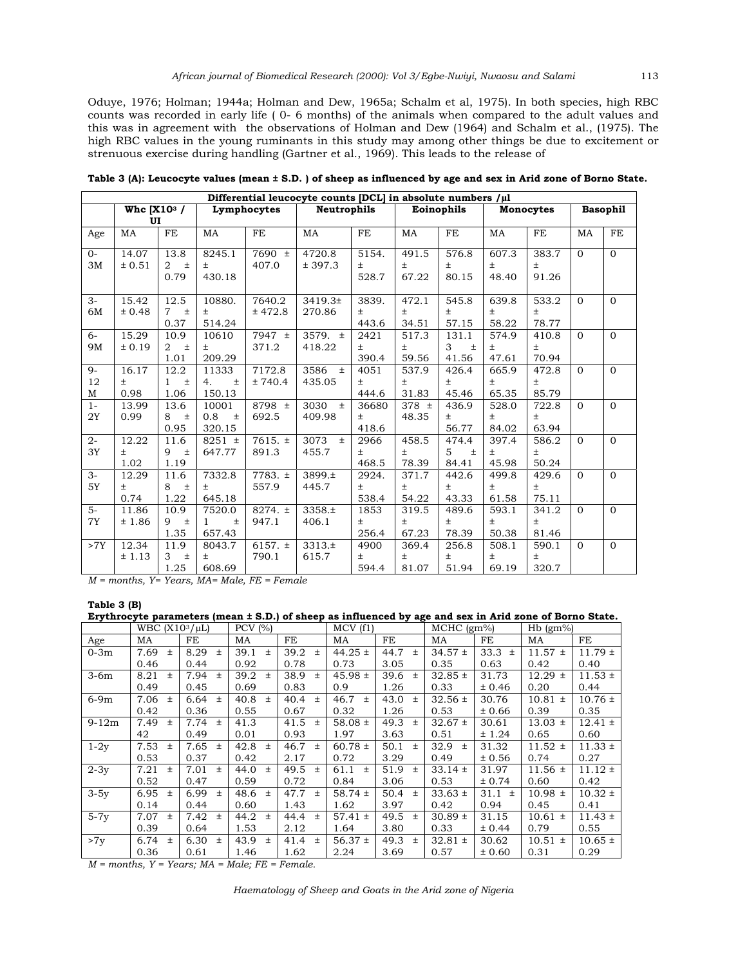Oduye, 1976; Holman; 1944a; Holman and Dew, 1965a; Schalm et al, 1975). In both species, high RBC counts was recorded in early life ( 0- 6 months) of the animals when compared to the adult values and this was in agreement with the observations of Holman and Dew (1964) and Schalm et al., (1975). The high RBC values in the young ruminants in this study may among other things be due to excitement or strenuous exercise during handling (Gartner et al., 1969). This leads to the release of

| Differential leucocyte counts [DCL] in absolute numbers $/\mu$ 1 |           |                                     |                         |                    |               |       |            |            |                  |                 |          |              |
|------------------------------------------------------------------|-----------|-------------------------------------|-------------------------|--------------------|---------------|-------|------------|------------|------------------|-----------------|----------|--------------|
|                                                                  |           | Whc $[X10^3 /$<br>Lymphocytes<br>UI |                         | <b>Neutrophils</b> |               |       | Eoinophils |            | <b>Monocytes</b> | <b>Basophil</b> |          |              |
| Age                                                              | MA        | FE                                  | MA                      | FE                 | MA            | FE    | MA         | FE         | MA               | FE              | MA       | FE           |
| $O -$                                                            | 14.07     | 13.8                                | 8245.1                  | $7690 \pm$         | 4720.8        | 5154. | 491.5      | 576.8      | 607.3            | 383.7           | $\Omega$ | $\mathbf{0}$ |
| 3M                                                               | ± 0.51    | $\pm$<br>$\overline{2}$             | $\pm$                   | 407.0              | ± 397.3       | $\pm$ | $\pm$      | $\pm$      | $\pm$            | $\pm$           |          |              |
|                                                                  |           | 0.79                                | 430.18                  |                    |               | 528.7 | 67.22      | 80.15      | 48.40            | 91.26           |          |              |
| $3-$                                                             | 15.42     | 12.5                                | 10880.                  | 7640.2             | 3419.3±       | 3839. | 472.1      | 545.8      | 639.8            | 533.2           | $\Omega$ | $\mathbf{0}$ |
| 6M                                                               | ± 0.48    | $\overline{7}$<br>$\pm$             | $\pm$                   | ± 472.8            | 270.86        | $\pm$ | $\pm$      | $\pm$      | $\pm$            | $\pm$           |          |              |
|                                                                  |           | 0.37                                | 514.24                  |                    |               | 443.6 | 34.51      | 57.15      | 58.22            | 78.77           |          |              |
| $6-$                                                             | 15.29     | 10.9                                | 10610                   | 7947 ±             | 3579. $\pm$   | 2421  | 517.3      | 131.1      | 574.9            | 410.8           | $\Omega$ | $\mathbf{0}$ |
| 9M                                                               | ± 0.19    | $\overline{2}$<br>$\pm$             | Ŧ                       | 371.2              | 418.22        | Ŧ     | $\pm$      | 3<br>$\pm$ | $\pm$            | $\pm$           |          |              |
|                                                                  |           | 1.01                                | 209.29                  |                    |               | 390.4 | 59.56      | 41.56      | 47.61            | 70.94           |          |              |
| $9-$                                                             | 16.17     | 12.2                                | 11333                   | 7172.8             | 3586<br>$\pm$ | 4051  | 537.9      | 426.4      | 665.9            | 472.8           | $\Omega$ | $\Omega$     |
| 12                                                               | $\pm$     | $\mathbf{1}$<br>$\pm$               | 4.<br>$\pm$             | ± 740.4            | 435.05        | $\pm$ | $\pm$      | $\pm$      | $\pm$            | Ŧ               |          |              |
| М                                                                | 0.98      | 1.06                                | 150.13                  |                    |               | 444.6 | 31.83      | 45.46      | 65.35            | 85.79           |          |              |
| $1 -$                                                            | 13.99     | 13.6                                | 10001                   | 8798 $\pm$         | 3030<br>$\pm$ | 36680 | 378 $\pm$  | 436.9      | 528.0            | 722.8           | $\Omega$ | $\Omega$     |
| 2Y                                                               | 0.99      | 8<br>$\pm$                          | 0.8<br>$\pm$            | 692.5              | 409.98        | $\pm$ | 48.35      | Ŧ          | $\pm$            | Ŧ               |          |              |
|                                                                  |           | 0.95                                | 320.15                  |                    |               | 418.6 |            | 56.77      | 84.02            | 63.94           |          |              |
| $2-$                                                             | 12.22     | 11.6                                | 8251 $\pm$              | $7615. \pm$        | 3073<br>$\pm$ | 2966  | 458.5      | 474.4      | 397.4            | 586.2           | $\Omega$ | $\mathbf{0}$ |
| 3Y                                                               | Ŧ.        | 9<br>$\pm$                          | 647.77                  | 891.3              | 455.7         | $\pm$ | $\pm$      | 5<br>$\pm$ | $\pm$            | Ŧ               |          |              |
|                                                                  | 1.02      | 1.19                                |                         |                    |               | 468.5 | 78.39      | 84.41      | 45.98            | 50.24           |          |              |
| $3-$                                                             | 12.29     | 11.6                                | 7332.8                  | 7783. $\pm$        | 3899.±        | 2924. | 371.7      | 442.6      | 499.8            | 429.6           | $\Omega$ | $\mathbf{0}$ |
| 5Y                                                               | $\pm$     | 8<br>$\pm$                          | $\pm$                   | 557.9              | 445.7         | $\pm$ | $\pm$      | $\pm$      | $\pm$            | Ŧ               |          |              |
|                                                                  | 0.74      | 1.22                                | 645.18                  |                    |               | 538.4 | 54.22      | 43.33      | 61.58            | 75.11           |          |              |
| $5-$                                                             | 11.86     | 10.9                                | 7520.0                  | $8274. \pm$        | $3358. \pm$   | 1853  | 319.5      | 489.6      | 593.1            | 341.2           | $\Omega$ | $\Omega$     |
| 7Y                                                               | ± 1.86    | $\pm$<br>9                          | $\pm$<br>$\mathbf{1}$   | 947.1              | 406.1         | $\pm$ | $\pm$      | $\pm$      | $\pm$            | Ŧ               |          |              |
|                                                                  |           | 1.35                                | 657.43                  |                    |               | 256.4 | 67.23      | 78.39      | 50.38            | 81.46           |          |              |
| >7Y                                                              | 12.34     | 11.9                                | 8043.7                  | 6157. $\pm$        | 3313.±        | 4900  | 369.4      | 256.8      | 508.1            | 590.1           | $\Omega$ | $\Omega$     |
|                                                                  | ± 1.13    | 3<br>$\pm$                          | $\pm$                   | 790.1              | 615.7         | $\pm$ | $\pm$      | $\pm$      | $\pm$            | $\pm$           |          |              |
| $\mathbf{r}$                                                     | $11 - 37$ | 1.25<br>T                           | 608.69<br>$\frac{1}{4}$ |                    | $\mathbf{I}$  | 594.4 | 81.07      | 51.94      | 69.19            | 320.7           |          |              |

**Table 3 (A): Leucocyte values (mean ± S.D. ) of sheep as influenced by age and sex in Arid zone of Borno State.** 

*M = months, Y= Years, MA= Male, FE = Female* 

#### **Table 3 (B) Erythrocyte parameters (mean ± S.D.) of sheep as influenced by age and sex in Arid zone of Borno State.**

| Elythrocyte parameters (mean ± 3.D.) or sheep as inhuenced by age and sex in Arid zone or borno state. |                     |               |               |               |             |               |               |            |             |             |
|--------------------------------------------------------------------------------------------------------|---------------------|---------------|---------------|---------------|-------------|---------------|---------------|------------|-------------|-------------|
|                                                                                                        | WBC $(X10^3/\mu L)$ |               | PCV $(% )$    |               | MCV(f1)     |               | $MCHC$ (gm%)  |            | $Hb$ (gm%)  |             |
| Age                                                                                                    | MA                  | FE            | MA            | FE            | MA          | FE            | MA            | FE         | MA          | FE          |
| $0-3m$                                                                                                 | 7.69<br>$\pm$       | 8.29<br>$\pm$ | 39.1<br>$\pm$ | 39.2<br>$\pm$ | $44.25 \pm$ | 44.7<br>$\pm$ | $34.57 \pm$   | 33.3 $\pm$ | $11.57 \pm$ | $11.79 \pm$ |
|                                                                                                        | 0.46                | 0.44          | 0.92          | 0.78          | 0.73        | 3.05          | 0.35          | 0.63       | 0.42        | 0.40        |
| $3-6m$                                                                                                 | 8.21<br>$\pm$       | 7.94<br>$\pm$ | 39.2<br>$\pm$ | 38.9<br>$\pm$ | $45.98 \pm$ | 39.6<br>$\pm$ | $32.85 \pm$   | 31.73      | $12.29 \pm$ | $11.53 \pm$ |
|                                                                                                        | 0.49                | 0.45          | 0.69          | 0.83          | 0.9         | 1.26          | 0.33          | ± 0.46     | 0.20        | 0.44        |
| $6-9m$                                                                                                 | 7.06<br>$\pm$       | 6.64<br>$\pm$ | 40.8<br>$\pm$ | 40.4 $\pm$    | 46.7<br>$+$ | 43.0<br>$\pm$ | $32.56 \pm$   | 30.76      | $10.81 \pm$ | $10.76 \pm$ |
|                                                                                                        | 0.42                | 0.36          | 0.55          | 0.67          | 0.32        | 1.26          | 0.53          | ± 0.66     | 0.39        | 0.35        |
| $9-12m$                                                                                                | 7.49<br>$\pm$       | 7.74<br>$\pm$ | 41.3          | 41.5<br>$\pm$ | 58.08 $\pm$ | 49.3<br>$\pm$ | $32.67 \pm$   | 30.61      | $13.03 \pm$ | $12.41 \pm$ |
|                                                                                                        | 42                  | 0.49          | 0.01          | 0.93          | 1.97        | 3.63          | 0.51          | ± 1.24     | 0.65        | 0.60        |
| $1-2y$                                                                                                 | 7.53<br>$\pm$       | 7.65<br>$\pm$ | 42.8<br>$\pm$ | $46.7 \pm$    | $60.78 \pm$ | 50.1<br>$\pm$ | 32.9<br>$\pm$ | 31.32      | $11.52 \pm$ | $11.33 \pm$ |
|                                                                                                        | 0.53                | 0.37          | 0.42          | 2.17          | 0.72        | 3.29          | 0.49          | ± 0.56     | 0.74        | 0.27        |
| $2-3y$                                                                                                 | 7.21<br>$\ddot{}$   | 7.01<br>$\pm$ | 44.0<br>$\pm$ | 49.5<br>$\pm$ | 61.1<br>$+$ | 51.9<br>$\pm$ | $33.14 \pm$   | 31.97      | $11.56 \pm$ | $11.12 \pm$ |
|                                                                                                        | 0.52                | 0.47          | 0.59          | 0.72          | 0.84        | 3.06          | 0.53          | ± 0.74     | 0.60        | 0.42        |
| $3-5y$                                                                                                 | 6.95<br>$\pm$       | 6.99<br>$\pm$ | 48.6 $\pm$    | 47.7<br>$\pm$ | 58.74 $\pm$ | 50.4<br>$\pm$ | $33.63 \pm$   | $31.1 \pm$ | $10.98 \pm$ | $10.32 \pm$ |
|                                                                                                        | 0.14                | 0.44          | 0.60          | 1.43          | 1.62        | 3.97          | 0.42          | 0.94       | 0.45        | 0.41        |
| $5-7y$                                                                                                 | 7.07<br>$\pm$       | 7.42<br>$\pm$ | 44.2<br>$\pm$ | 44.4<br>$\pm$ | $57.41 \pm$ | 49.5<br>$\pm$ | $30.89 \pm$   | 31.15      | $10.61 \pm$ | $11.43 \pm$ |
|                                                                                                        | 0.39                | 0.64          | 1.53          | 2.12          | 1.64        | 3.80          | 0.33          | ± 0.44     | 0.79        | 0.55        |
| >7y                                                                                                    | 6.74<br>$\pm$       | 6.30<br>$\pm$ | 43.9<br>$\pm$ | 41.4<br>$\pm$ | 56.37 $\pm$ | 49.3<br>$\pm$ | $32.81 \pm$   | 30.62      | $10.51 \pm$ | $10.65 \pm$ |
|                                                                                                        | 0.36                | 0.61          | 1.46          | 1.62          | 2.24        | 3.69          | 0.57          | ± 0.60     | 0.31        | 0.29        |

 $M =$ months,  $Y = Years$ ;  $MA = Male$ ;  $FE = Female$ .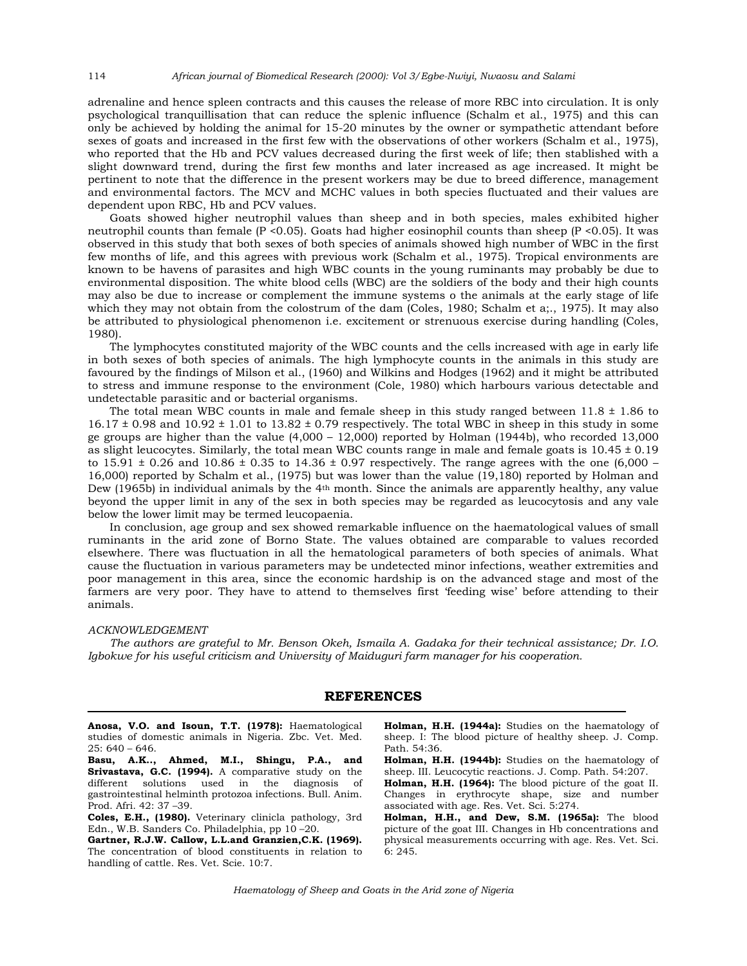adrenaline and hence spleen contracts and this causes the release of more RBC into circulation. It is only psychological tranquillisation that can reduce the splenic influence (Schalm et al., 1975) and this can only be achieved by holding the animal for 15-20 minutes by the owner or sympathetic attendant before sexes of goats and increased in the first few with the observations of other workers (Schalm et al., 1975), who reported that the Hb and PCV values decreased during the first week of life; then stablished with a slight downward trend, during the first few months and later increased as age increased. It might be pertinent to note that the difference in the present workers may be due to breed difference, management and environmental factors. The MCV and MCHC values in both species fluctuated and their values are dependent upon RBC, Hb and PCV values.

 Goats showed higher neutrophil values than sheep and in both species, males exhibited higher neutrophil counts than female (P <0.05). Goats had higher eosinophil counts than sheep (P <0.05). It was observed in this study that both sexes of both species of animals showed high number of WBC in the first few months of life, and this agrees with previous work (Schalm et al., 1975). Tropical environments are known to be havens of parasites and high WBC counts in the young ruminants may probably be due to environmental disposition. The white blood cells (WBC) are the soldiers of the body and their high counts may also be due to increase or complement the immune systems o the animals at the early stage of life which they may not obtain from the colostrum of the dam (Coles, 1980; Schalm et a;., 1975). It may also be attributed to physiological phenomenon i.e. excitement or strenuous exercise during handling (Coles, 1980).

 The lymphocytes constituted majority of the WBC counts and the cells increased with age in early life in both sexes of both species of animals. The high lymphocyte counts in the animals in this study are favoured by the findings of Milson et al., (1960) and Wilkins and Hodges (1962) and it might be attributed to stress and immune response to the environment (Cole, 1980) which harbours various detectable and undetectable parasitic and or bacterial organisms.

The total mean WBC counts in male and female sheep in this study ranged between  $11.8 \pm 1.86$  to  $16.17 \pm 0.98$  and  $10.92 \pm 1.01$  to  $13.82 \pm 0.79$  respectively. The total WBC in sheep in this study in some ge groups are higher than the value (4,000 – 12,000) reported by Holman (1944b), who recorded 13,000 as slight leucocytes. Similarly, the total mean WBC counts range in male and female goats is  $10.45 \pm 0.19$ to 15.91  $\pm$  0.26 and 10.86  $\pm$  0.35 to 14.36  $\pm$  0.97 respectively. The range agrees with the one (6,000 – 16,000) reported by Schalm et al., (1975) but was lower than the value (19,180) reported by Holman and Dew (1965b) in individual animals by the 4th month. Since the animals are apparently healthy, any value beyond the upper limit in any of the sex in both species may be regarded as leucocytosis and any vale below the lower limit may be termed leucopaenia.

 In conclusion, age group and sex showed remarkable influence on the haematological values of small ruminants in the arid zone of Borno State. The values obtained are comparable to values recorded elsewhere. There was fluctuation in all the hematological parameters of both species of animals. What cause the fluctuation in various parameters may be undetected minor infections, weather extremities and poor management in this area, since the economic hardship is on the advanced stage and most of the farmers are very poor. They have to attend to themselves first 'feeding wise' before attending to their animals.

#### *ACKNOWLEDGEMENT*

 *The authors are grateful to Mr. Benson Okeh, Ismaila A. Gadaka for their technical assistance; Dr. I.O. Igbokwe for his useful criticism and University of Maiduguri farm manager for his cooperation.* 

### **REFERENCES**

**Anosa, V.O. and Isoun, T.T. (1978):** Haematological studies of domestic animals in Nigeria. Zbc. Vet. Med. 25: 640 – 646.

**Basu, A.K.., Ahmed, M.I., Shingu, P.A., and Srivastava, G.C. (1994).** A comparative study on the different solutions used in the diagnosis of gastrointestinal helminth protozoa infections. Bull. Anim. Prod. Afri. 42: 37 –39.

**Coles, E.H., (1980).** Veterinary clinicla pathology, 3rd Edn., W.B. Sanders Co. Philadelphia, pp 10 –20.

**Gartner, R.J.W. Callow, L.L.and Granzien,C.K. (1969).** The concentration of blood constituents in relation to handling of cattle. Res. Vet. Scie. 10:7.

**Holman, H.H. (1944a):** Studies on the haematology of sheep. I: The blood picture of healthy sheep. J. Comp. Path. 54:36.

**Holman, H.H. (1944b):** Studies on the haematology of sheep. III. Leucocytic reactions. J. Comp. Path. 54:207.

**Holman, H.H. (1964):** The blood picture of the goat II. Changes in erythrocyte shape, size and number associated with age. Res. Vet. Sci. 5:274.

**Holman, H.H., and Dew, S.M. (1965a):** The blood picture of the goat III. Changes in Hb concentrations and physical measurements occurring with age. Res. Vet. Sci. 6: 245.

*Haematology of Sheep and Goats in the Arid zone of Nigeria* 

114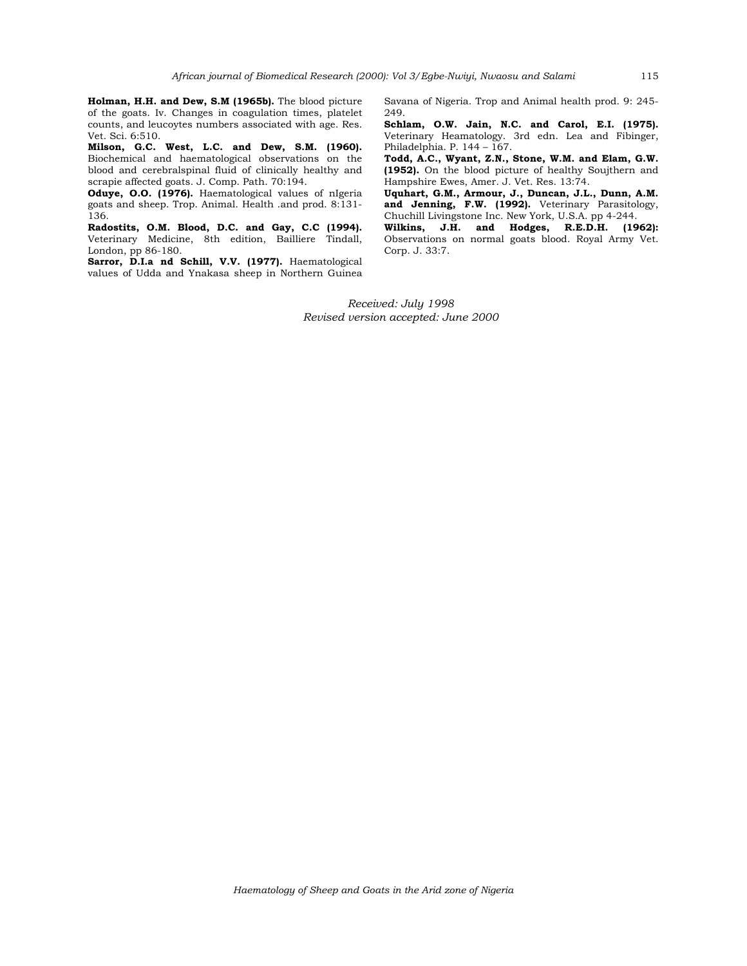**Holman, H.H. and Dew, S.M (1965b).** The blood picture of the goats. Iv. Changes in coagulation times, platelet counts, and leucoytes numbers associated with age. Res. Vet. Sci. 6:510.

**Milson, G.C. West, L.C. and Dew, S.M. (1960).** Biochemical and haematological observations on the blood and cerebralspinal fluid of clinically healthy and scrapie affected goats. J. Comp. Path. 70:194.

**Oduye, O.O. (1976).** Haematological values of nIgeria goats and sheep. Trop. Animal. Health .and prod. 8:131- 136.

**Radostits, O.M. Blood, D.C. and Gay, C.C (1994).** Veterinary Medicine, 8th edition, Bailliere Tindall, London, pp 86-180.

Sarror, D.I.a nd Schill, V.V. (1977). Haematological values of Udda and Ynakasa sheep in Northern Guinea Savana of Nigeria. Trop and Animal health prod. 9: 245- 249.

**Schlam, O.W. Jain, N.C. and Carol, E.I. (1975).** Veterinary Heamatology. 3rd edn. Lea and Fibinger, Philadelphia. P. 144 – 167.

**Todd, A.C., Wyant, Z.N., Stone, W.M. and Elam, G.W. (1952).** On the blood picture of healthy Soujthern and Hampshire Ewes, Amer. J. Vet. Res. 13:74.

**Uquhart, G.M., Armour, J., Duncan, J.L., Dunn, A.M. and Jenning, F.W. (1992).** Veterinary Parasitology, Chuchill Livingstone Inc. New York, U.S.A. pp 4-244.

**Wilkins, J.H. and Hodges, R.E.D.H. (1962):**  Observations on normal goats blood. Royal Army Vet. Corp. J. 33:7.

*Received: July 1998 Revised version accepted: June 2000*